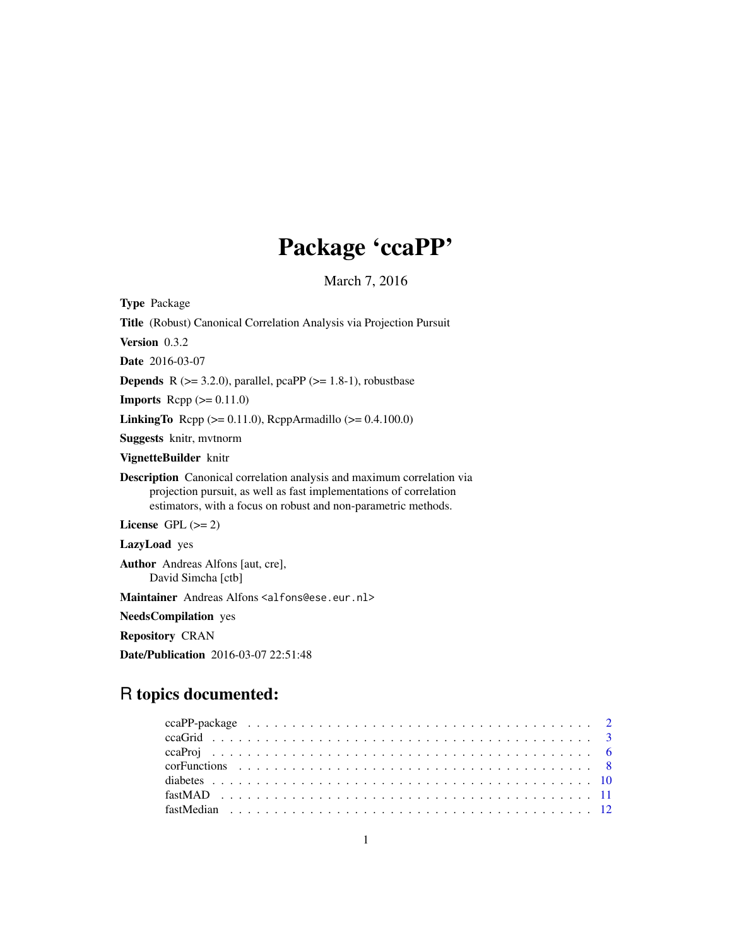# Package 'ccaPP'

March 7, 2016

<span id="page-0-0"></span>Type Package Title (Robust) Canonical Correlation Analysis via Projection Pursuit Version 0.3.2 Date 2016-03-07 **Depends** R  $(>= 3.2.0)$ , parallel, pcaPP  $(>= 1.8-1)$ , robustbase **Imports** Rcpp  $(>= 0.11.0)$ **LinkingTo** Rcpp ( $>= 0.11.0$ ), RcppArmadillo ( $>= 0.4.100.0$ ) Suggests knitr, mvtnorm VignetteBuilder knitr Description Canonical correlation analysis and maximum correlation via projection pursuit, as well as fast implementations of correlation estimators, with a focus on robust and non-parametric methods. License GPL  $(>= 2)$ LazyLoad yes Author Andreas Alfons [aut, cre], David Simcha [ctb] Maintainer Andreas Alfons <alfons@ese.eur.nl> NeedsCompilation yes Repository CRAN Date/Publication 2016-03-07 22:51:48

# R topics documented: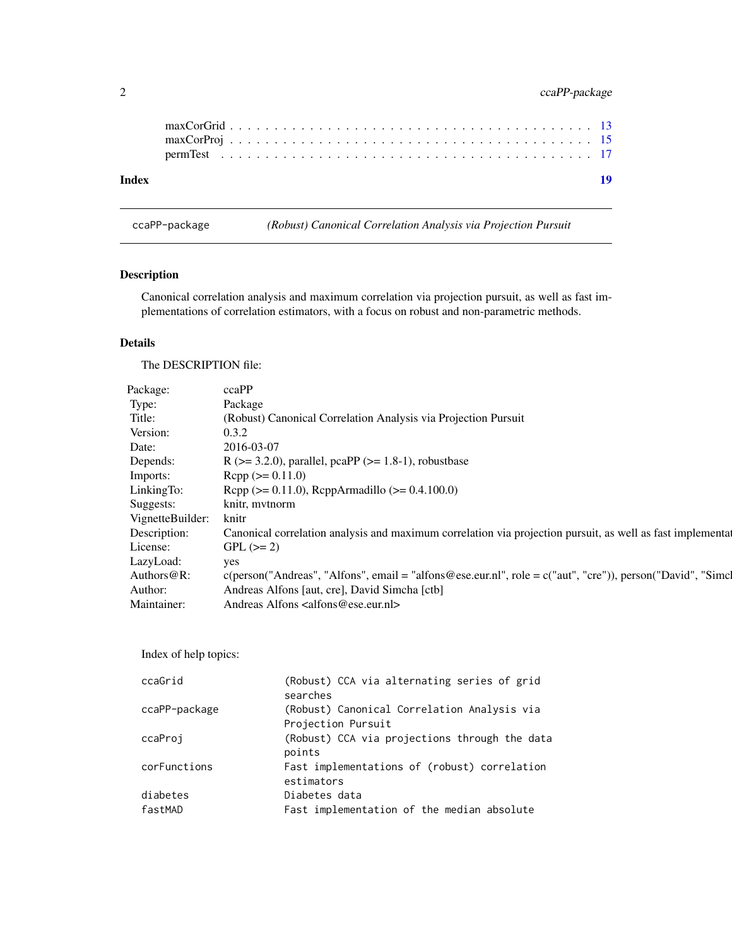# <span id="page-1-0"></span>2 ccaPP-package

| Index |  |  |  |  |  |  |  |  |  |  |  |  |  |  |  |  |  | -19 |  |
|-------|--|--|--|--|--|--|--|--|--|--|--|--|--|--|--|--|--|-----|--|
|       |  |  |  |  |  |  |  |  |  |  |  |  |  |  |  |  |  |     |  |
|       |  |  |  |  |  |  |  |  |  |  |  |  |  |  |  |  |  |     |  |
|       |  |  |  |  |  |  |  |  |  |  |  |  |  |  |  |  |  |     |  |

ccaPP-package *(Robust) Canonical Correlation Analysis via Projection Pursuit*

# Description

Canonical correlation analysis and maximum correlation via projection pursuit, as well as fast implementations of correlation estimators, with a focus on robust and non-parametric methods.

# Details

The DESCRIPTION file:

| Package:         | ccaPP                                                                                                             |
|------------------|-------------------------------------------------------------------------------------------------------------------|
| Type:            | Package                                                                                                           |
| Title:           | (Robust) Canonical Correlation Analysis via Projection Pursuit                                                    |
| Version:         | 0.3.2                                                                                                             |
| Date:            | 2016-03-07                                                                                                        |
| Depends:         | $R$ ( $> = 3.2.0$ ), parallel, pcaPP ( $> = 1.8-1$ ), robustbase                                                  |
| Imports:         | $\text{Rcpp} (> = 0.11.0)$                                                                                        |
| LinkingTo:       | Rcpp ( $> = 0.11.0$ ), RcppArmadillo ( $> = 0.4.100.0$ )                                                          |
| Suggests:        | knitr, mytnorm                                                                                                    |
| VignetteBuilder: | knitr                                                                                                             |
| Description:     | Canonical correlation analysis and maximum correlation via projection pursuit, as well as fast implemental        |
| License:         | $GPL (=2)$                                                                                                        |
| LazyLoad:        | yes                                                                                                               |
| Authors@R:       | $c(\text{person("Andreas", "Alfons", email = "alfons@ese.eu.nl", role = c("aut", "cre")), person("David", "Simc"$ |
| Author:          | Andreas Alfons [aut, cre], David Simcha [ctb]                                                                     |
| Maintainer:      | Andreas Alfons <alfons@ese.eur.nl></alfons@ese.eur.nl>                                                            |
|                  |                                                                                                                   |

Index of help topics:

| ccaGrid       | (Robust) CCA via alternating series of grid<br>searches |
|---------------|---------------------------------------------------------|
| ccaPP-package | (Robust) Canonical Correlation Analysis via             |
|               | Projection Pursuit                                      |
| ccaProi       | (Robust) CCA via projections through the data           |
|               | points                                                  |
| corFunctions  | Fast implementations of (robust) correlation            |
|               | estimators                                              |
| diabetes      | Diabetes data                                           |
| fastMAD       | Fast implementation of the median absolute              |
|               |                                                         |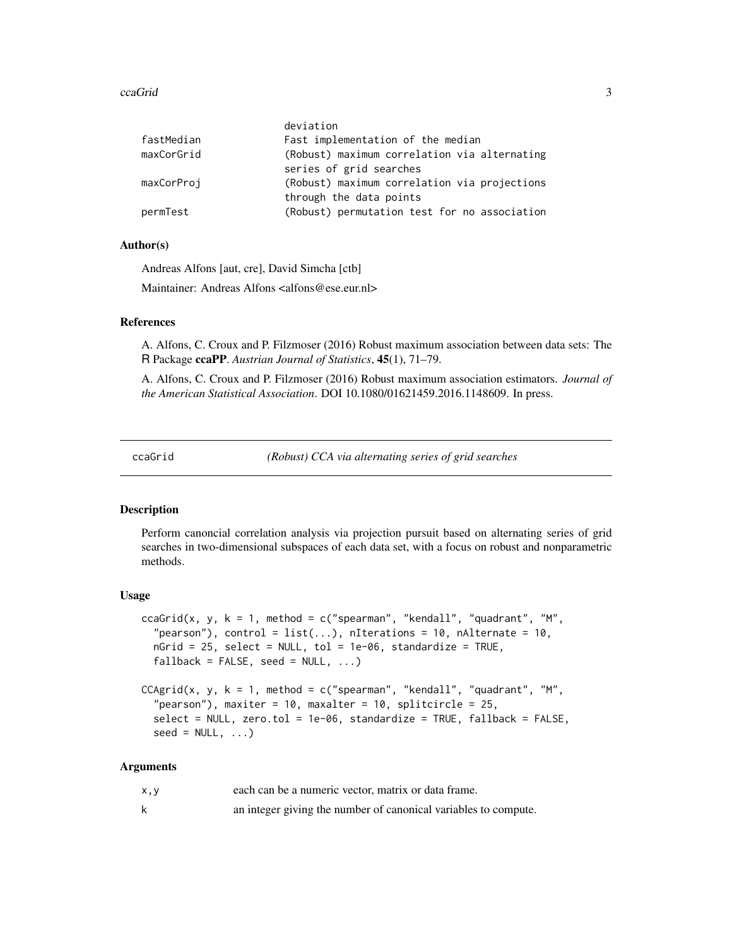#### <span id="page-2-0"></span>ccaGrid 3

|            | deviation                                    |
|------------|----------------------------------------------|
| fastMedian | Fast implementation of the median            |
| maxCorGrid | (Robust) maximum correlation via alternating |
|            | series of grid searches                      |
| maxCorProj | (Robust) maximum correlation via projections |
|            | through the data points                      |
| permTest   | (Robust) permutation test for no association |

#### Author(s)

Andreas Alfons [aut, cre], David Simcha [ctb]

Maintainer: Andreas Alfons <alfons@ese.eur.nl>

#### References

A. Alfons, C. Croux and P. Filzmoser (2016) Robust maximum association between data sets: The R Package ccaPP. *Austrian Journal of Statistics*, 45(1), 71–79.

A. Alfons, C. Croux and P. Filzmoser (2016) Robust maximum association estimators. *Journal of the American Statistical Association*. DOI 10.1080/01621459.2016.1148609. In press.

<span id="page-2-1"></span>

ccaGrid *(Robust) CCA via alternating series of grid searches*

#### **Description**

Perform canoncial correlation analysis via projection pursuit based on alternating series of grid searches in two-dimensional subspaces of each data set, with a focus on robust and nonparametric methods.

#### Usage

```
ccaGrid(x, y, k = 1, method = c("spearman", "kendall", "quadrant", "M",
  "pearson"), control = list(...), nIterations = 10, nAlternate = 10,
  nGrid = 25, select = NULL, tol = 1e-06, standardize = TRUE,
  fallback = FALSE, seed = NULL, ...CCAgrid(x, y, k = 1, method = c("spearman", "kendall", "quadrant", "M","pearson"), maxiter = 10, maxalter = 10, splitcircle = 25,
  select = NULL, zero.tol = 1e-06, standardize = TRUE, fallback = FALSE,
  seed = NULL, ...
```

| X.V | each can be a numeric vector, matrix or data frame.             |
|-----|-----------------------------------------------------------------|
|     | an integer giving the number of canonical variables to compute. |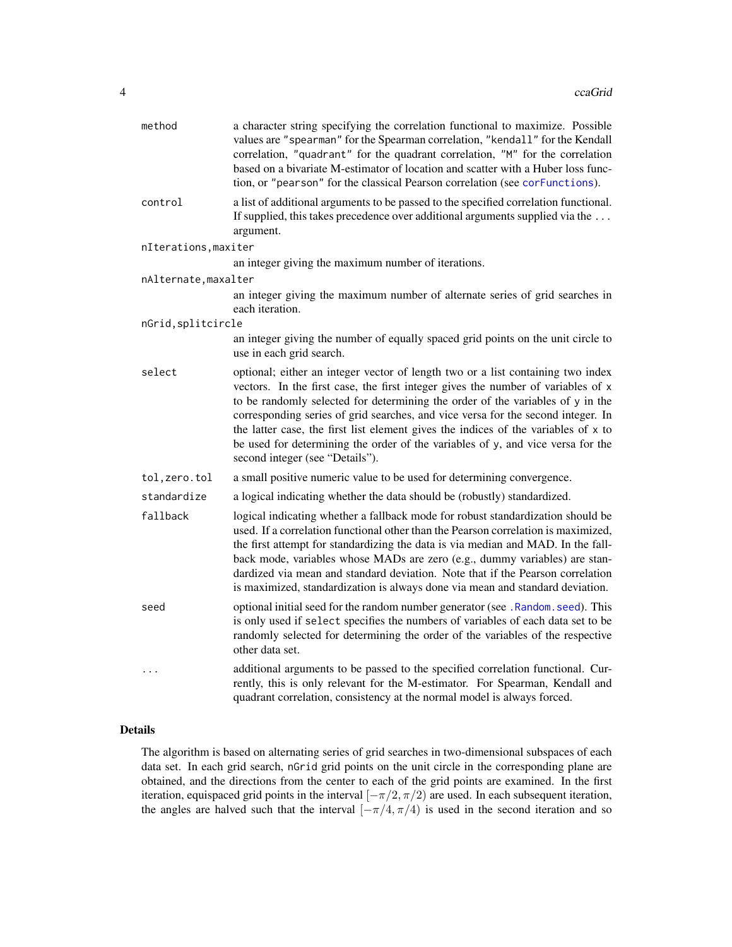<span id="page-3-0"></span>

| method               | a character string specifying the correlation functional to maximize. Possible<br>values are "spearman" for the Spearman correlation, "kendall" for the Kendall<br>correlation, "quadrant" for the quadrant correlation, "M" for the correlation<br>based on a bivariate M-estimator of location and scatter with a Huber loss func-<br>tion, or "pearson" for the classical Pearson correlation (see corFunctions).                                                                                                                                  |
|----------------------|-------------------------------------------------------------------------------------------------------------------------------------------------------------------------------------------------------------------------------------------------------------------------------------------------------------------------------------------------------------------------------------------------------------------------------------------------------------------------------------------------------------------------------------------------------|
| control              | a list of additional arguments to be passed to the specified correlation functional.<br>If supplied, this takes precedence over additional arguments supplied via the<br>argument.                                                                                                                                                                                                                                                                                                                                                                    |
| nIterations, maxiter |                                                                                                                                                                                                                                                                                                                                                                                                                                                                                                                                                       |
|                      | an integer giving the maximum number of iterations.                                                                                                                                                                                                                                                                                                                                                                                                                                                                                                   |
| nAlternate, maxalter |                                                                                                                                                                                                                                                                                                                                                                                                                                                                                                                                                       |
|                      | an integer giving the maximum number of alternate series of grid searches in<br>each iteration.                                                                                                                                                                                                                                                                                                                                                                                                                                                       |
| nGrid, splitcircle   |                                                                                                                                                                                                                                                                                                                                                                                                                                                                                                                                                       |
|                      | an integer giving the number of equally spaced grid points on the unit circle to<br>use in each grid search.                                                                                                                                                                                                                                                                                                                                                                                                                                          |
| select               | optional; either an integer vector of length two or a list containing two index<br>vectors. In the first case, the first integer gives the number of variables of x<br>to be randomly selected for determining the order of the variables of y in the<br>corresponding series of grid searches, and vice versa for the second integer. In<br>the latter case, the first list element gives the indices of the variables of x to<br>be used for determining the order of the variables of y, and vice versa for the<br>second integer (see "Details"). |
| tol, zero.tol        | a small positive numeric value to be used for determining convergence.                                                                                                                                                                                                                                                                                                                                                                                                                                                                                |
| standardize          | a logical indicating whether the data should be (robustly) standardized.                                                                                                                                                                                                                                                                                                                                                                                                                                                                              |
| fallback             | logical indicating whether a fallback mode for robust standardization should be<br>used. If a correlation functional other than the Pearson correlation is maximized,<br>the first attempt for standardizing the data is via median and MAD. In the fall-<br>back mode, variables whose MADs are zero (e.g., dummy variables) are stan-<br>dardized via mean and standard deviation. Note that if the Pearson correlation<br>is maximized, standardization is always done via mean and standard deviation.                                            |
| seed                 | optional initial seed for the random number generator (see . Random. seed). This<br>is only used if select specifies the numbers of variables of each data set to be<br>randomly selected for determining the order of the variables of the respective<br>other data set.                                                                                                                                                                                                                                                                             |
| .                    | additional arguments to be passed to the specified correlation functional. Cur-<br>rently, this is only relevant for the M-estimator. For Spearman, Kendall and<br>quadrant correlation, consistency at the normal model is always forced.                                                                                                                                                                                                                                                                                                            |

# Details

The algorithm is based on alternating series of grid searches in two-dimensional subspaces of each data set. In each grid search, nGrid grid points on the unit circle in the corresponding plane are obtained, and the directions from the center to each of the grid points are examined. In the first iteration, equispaced grid points in the interval  $[-\pi/2, \pi/2)$  are used. In each subsequent iteration, the angles are halved such that the interval  $[-\pi/4, \pi/4)$  is used in the second iteration and so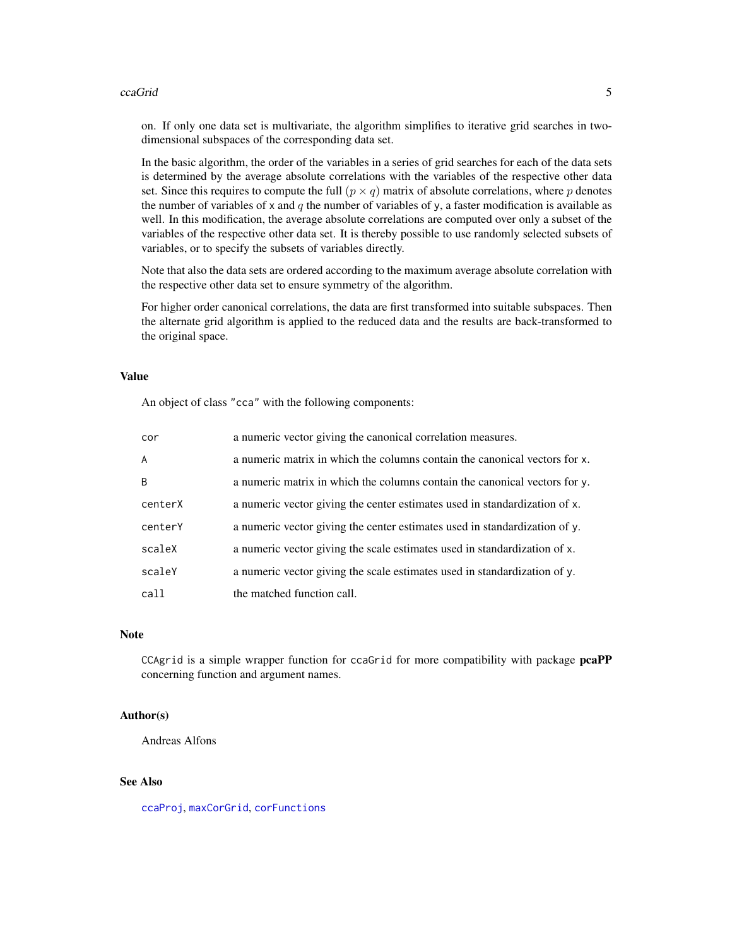#### <span id="page-4-0"></span>ccaGrid 5

on. If only one data set is multivariate, the algorithm simplifies to iterative grid searches in twodimensional subspaces of the corresponding data set.

In the basic algorithm, the order of the variables in a series of grid searches for each of the data sets is determined by the average absolute correlations with the variables of the respective other data set. Since this requires to compute the full  $(p \times q)$  matrix of absolute correlations, where p denotes the number of variables of x and q the number of variables of y, a faster modification is available as well. In this modification, the average absolute correlations are computed over only a subset of the variables of the respective other data set. It is thereby possible to use randomly selected subsets of variables, or to specify the subsets of variables directly.

Note that also the data sets are ordered according to the maximum average absolute correlation with the respective other data set to ensure symmetry of the algorithm.

For higher order canonical correlations, the data are first transformed into suitable subspaces. Then the alternate grid algorithm is applied to the reduced data and the results are back-transformed to the original space.

#### Value

An object of class "cca" with the following components:

| cor            | a numeric vector giving the canonical correlation measures.                |
|----------------|----------------------------------------------------------------------------|
| $\overline{A}$ | a numeric matrix in which the columns contain the canonical vectors for x. |
| B              | a numeric matrix in which the columns contain the canonical vectors for y. |
| centerX        | a numeric vector giving the center estimates used in standardization of x. |
| centerY        | a numeric vector giving the center estimates used in standardization of y. |
| scaleX         | a numeric vector giving the scale estimates used in standardization of x.  |
| scaleY         | a numeric vector giving the scale estimates used in standardization of y.  |
| call           | the matched function call.                                                 |

#### **Note**

CCAgrid is a simple wrapper function for ccaGrid for more compatibility with package pcaPP concerning function and argument names.

#### Author(s)

Andreas Alfons

# See Also

[ccaProj](#page-5-1), [maxCorGrid](#page-12-1), [corFunctions](#page-7-1)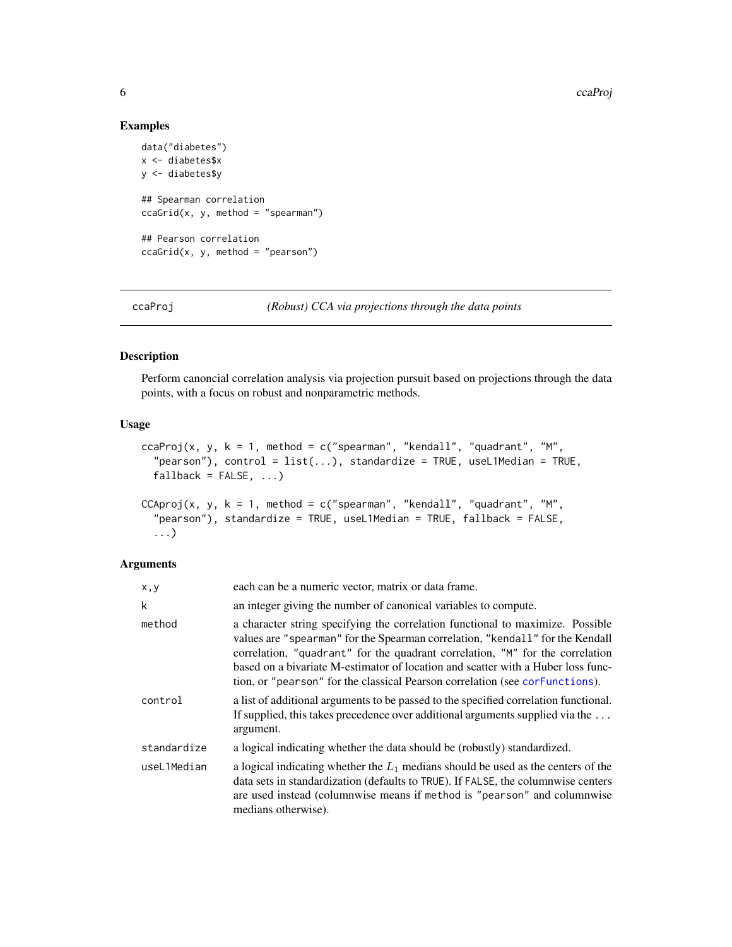# Examples

```
data("diabetes")
x <- diabetes$x
y <- diabetes$y
## Spearman correlation
ccaGrid(x, y, method = "spearman")## Pearson correlation
ccaGrid(x, y, method = "pearson")
```
<span id="page-5-1"></span>ccaProj *(Robust) CCA via projections through the data points*

# Description

Perform canoncial correlation analysis via projection pursuit based on projections through the data points, with a focus on robust and nonparametric methods.

#### Usage

```
ccaProj(x, y, k = 1, method = c("spearman", "kendall", "quadrant", "M","pearson"), control = list(...), standardize = TRUE, useL1Median = TRUE,
 fallback = FALSE, ...CCAproj(x, y, k = 1, method = c("spearman", "kendall", "quadrant", "M","pearson"), standardize = TRUE, useL1Median = TRUE, fallback = FALSE,
  ...)
```

| x, y        | each can be a numeric vector, matrix or data frame.                                                                                                                                                                                                                                                                                                                                                                  |
|-------------|----------------------------------------------------------------------------------------------------------------------------------------------------------------------------------------------------------------------------------------------------------------------------------------------------------------------------------------------------------------------------------------------------------------------|
| k           | an integer giving the number of canonical variables to compute.                                                                                                                                                                                                                                                                                                                                                      |
| method      | a character string specifying the correlation functional to maximize. Possible<br>values are "spearman" for the Spearman correlation, "kendall" for the Kendall<br>correlation, "quadrant" for the quadrant correlation, "M" for the correlation<br>based on a bivariate M-estimator of location and scatter with a Huber loss func-<br>tion, or "pearson" for the classical Pearson correlation (see corFunctions). |
| control     | a list of additional arguments to be passed to the specified correlation functional.<br>If supplied, this takes precedence over additional arguments supplied via the<br>argument.                                                                                                                                                                                                                                   |
| standardize | a logical indicating whether the data should be (robustly) standardized.                                                                                                                                                                                                                                                                                                                                             |
| useL1Median | a logical indicating whether the $L_1$ medians should be used as the centers of the<br>data sets in standardization (defaults to TRUE). If FALSE, the columnwise centers<br>are used instead (columnwise means if method is "pearson" and columnwise<br>medians otherwise).                                                                                                                                          |

<span id="page-5-0"></span>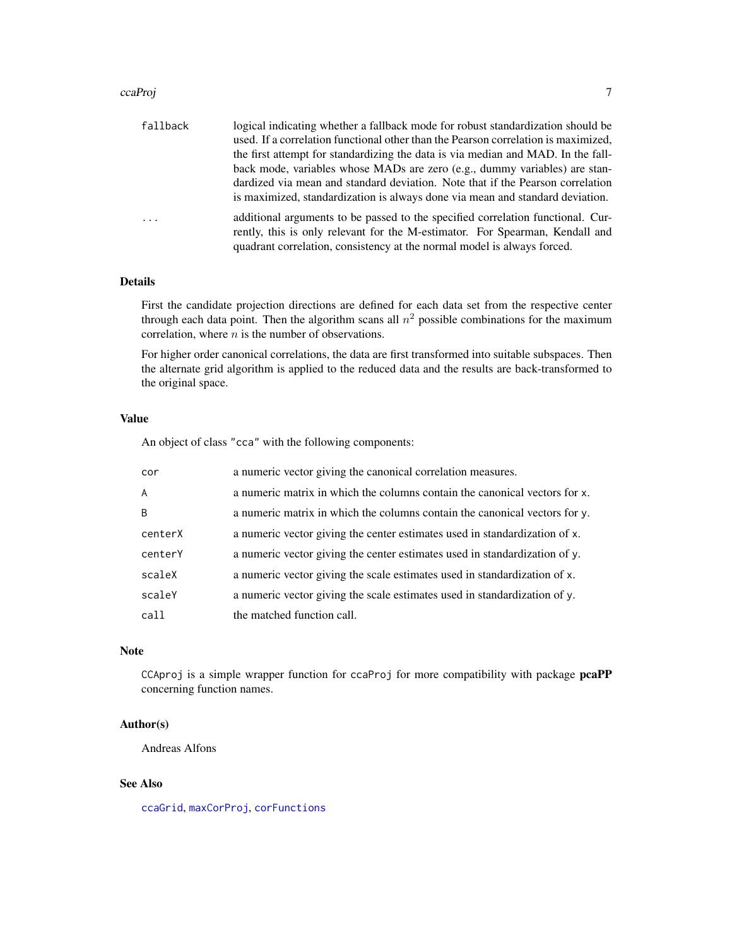#### <span id="page-6-0"></span>ccaProj *7*

| fallback  | logical indicating whether a fallback mode for robust standardization should be                                                                                                                                                               |
|-----------|-----------------------------------------------------------------------------------------------------------------------------------------------------------------------------------------------------------------------------------------------|
|           | used. If a correlation functional other than the Pearson correlation is maximized,                                                                                                                                                            |
|           | the first attempt for standardizing the data is via median and MAD. In the fall-                                                                                                                                                              |
|           | back mode, variables whose MADs are zero (e.g., dummy variables) are stan-<br>dardized via mean and standard deviation. Note that if the Pearson correlation<br>is maximized, standardization is always done via mean and standard deviation. |
| $\ddotsc$ | additional arguments to be passed to the specified correlation functional. Cur-<br>rently, this is only relevant for the M-estimator. For Spearman, Kendall and<br>quadrant correlation, consistency at the normal model is always forced.    |

# Details

First the candidate projection directions are defined for each data set from the respective center through each data point. Then the algorithm scans all  $n^2$  possible combinations for the maximum correlation, where  $n$  is the number of observations.

For higher order canonical correlations, the data are first transformed into suitable subspaces. Then the alternate grid algorithm is applied to the reduced data and the results are back-transformed to the original space.

# Value

An object of class "cca" with the following components:

| cor          | a numeric vector giving the canonical correlation measures.                |
|--------------|----------------------------------------------------------------------------|
| $\mathsf{A}$ | a numeric matrix in which the columns contain the canonical vectors for x. |
| <sub>R</sub> | a numeric matrix in which the columns contain the canonical vectors for y. |
| centerX      | a numeric vector giving the center estimates used in standardization of x. |
| centerY      | a numeric vector giving the center estimates used in standardization of y. |
| scaleX       | a numeric vector giving the scale estimates used in standardization of x.  |
| scaleY       | a numeric vector giving the scale estimates used in standardization of y.  |
| call         | the matched function call.                                                 |

# Note

CCAproj is a simple wrapper function for ccaProj for more compatibility with package pcaPP concerning function names.

# Author(s)

Andreas Alfons

#### See Also

[ccaGrid](#page-2-1), [maxCorProj](#page-14-1), [corFunctions](#page-7-1)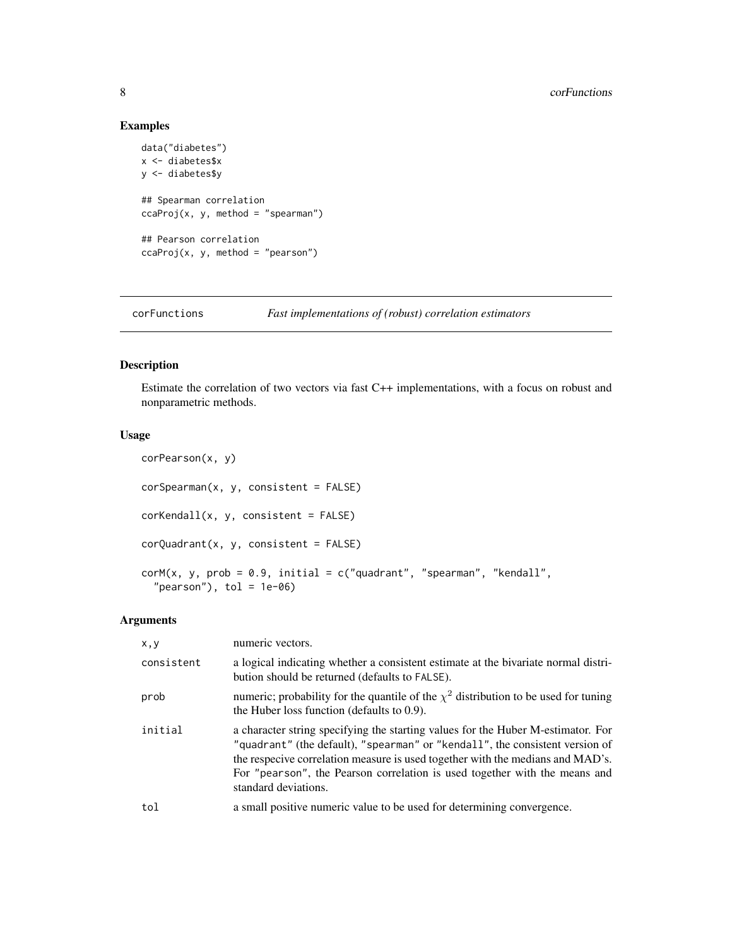# Examples

```
data("diabetes")
x <- diabetes$x
y <- diabetes$y
## Spearman correlation
ccaProj(x, y, method = "spearman")## Pearson correlation
ccaProj(x, y, method = "pearson")
```

```
corFunctions Fast implementations of (robust) correlation estimators
```
## Description

Estimate the correlation of two vectors via fast C++ implementations, with a focus on robust and nonparametric methods.

#### Usage

```
corPearson(x, y)
corSpearman(x, y, consistent = FALSE)corKendall(x, y, consistent = FALSE)
corQuadrant(x, y, consistent = FALSE)
corM(x, y, prob = 0.9, initial = c("quadrant", "spearman", "kendall","pearson"), tol = 1e-06)
```

| x, y       | numeric vectors.                                                                                                                                                                                                                                                                                                                                         |
|------------|----------------------------------------------------------------------------------------------------------------------------------------------------------------------------------------------------------------------------------------------------------------------------------------------------------------------------------------------------------|
| consistent | a logical indicating whether a consistent estimate at the bivariate normal distri-<br>bution should be returned (defaults to FALSE).                                                                                                                                                                                                                     |
| prob       | numeric; probability for the quantile of the $\chi^2$ distribution to be used for tuning<br>the Huber loss function (defaults to $0.9$ ).                                                                                                                                                                                                                |
| initial    | a character string specifying the starting values for the Huber M-estimator. For<br>"quadrant" (the default), "spearman" or "kendall", the consistent version of<br>the respecive correlation measure is used together with the medians and MAD's.<br>For "pearson", the Pearson correlation is used together with the means and<br>standard deviations. |
| tol        | a small positive numeric value to be used for determining convergence.                                                                                                                                                                                                                                                                                   |

<span id="page-7-0"></span>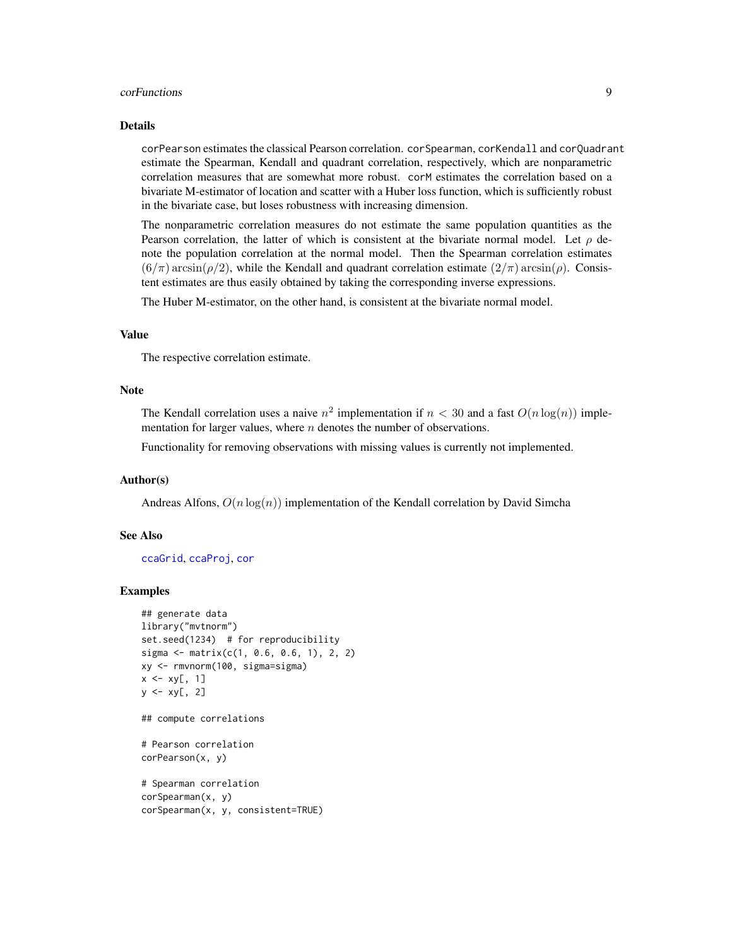#### <span id="page-8-0"></span>corFunctions **9**

#### Details

corPearson estimates the classical Pearson correlation. corSpearman, corKendall and corQuadrant estimate the Spearman, Kendall and quadrant correlation, respectively, which are nonparametric correlation measures that are somewhat more robust. corM estimates the correlation based on a bivariate M-estimator of location and scatter with a Huber loss function, which is sufficiently robust in the bivariate case, but loses robustness with increasing dimension.

The nonparametric correlation measures do not estimate the same population quantities as the Pearson correlation, the latter of which is consistent at the bivariate normal model. Let  $\rho$  denote the population correlation at the normal model. Then the Spearman correlation estimates  $(6/\pi)$  arcsin( $\rho/2$ ), while the Kendall and quadrant correlation estimate  $(2/\pi)$  arcsin( $\rho$ ). Consistent estimates are thus easily obtained by taking the corresponding inverse expressions.

The Huber M-estimator, on the other hand, is consistent at the bivariate normal model.

# Value

The respective correlation estimate.

#### Note

The Kendall correlation uses a naive  $n^2$  implementation if  $n < 30$  and a fast  $O(n \log(n))$  implementation for larger values, where  $n$  denotes the number of observations.

Functionality for removing observations with missing values is currently not implemented.

#### Author(s)

Andreas Alfons,  $O(n \log(n))$  implementation of the Kendall correlation by David Simcha

#### See Also

[ccaGrid](#page-2-1), [ccaProj](#page-5-1), [cor](#page-0-0)

#### Examples

```
## generate data
library("mvtnorm")
set.seed(1234) # for reproducibility
sigma \leq matrix(c(1, 0.6, 0.6, 1), 2, 2)
xy <- rmvnorm(100, sigma=sigma)
x \leq -xy[, 1]
y \leq -xy[, 2]
## compute correlations
# Pearson correlation
corPearson(x, y)
# Spearman correlation
corSpearman(x, y)
corSpearman(x, y, consistent=TRUE)
```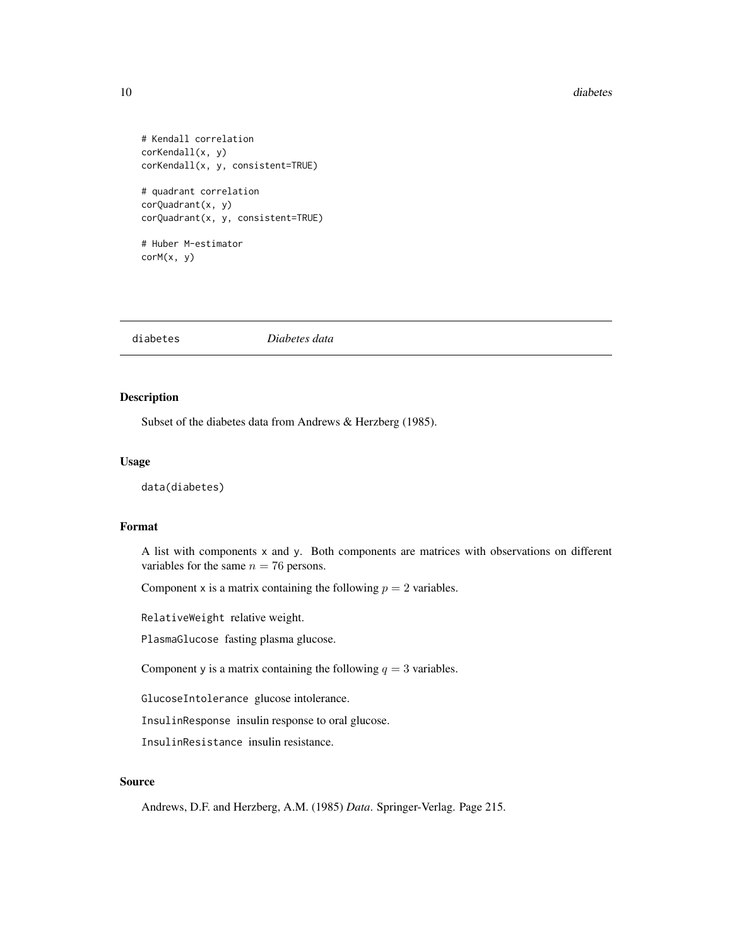#### <span id="page-9-0"></span>10 diabetes diabetes diabetes diabetes diabetes diabetes diabetes diabetes diabetes diabetes diabetes diabetes diabetes diabetes diabetes diabetes diabetes diabetes diabetes diabetes diabetes diabetes diabetes diabetes dia

```
# Kendall correlation
corKendall(x, y)
corKendall(x, y, consistent=TRUE)
# quadrant correlation
corQuadrant(x, y)
corQuadrant(x, y, consistent=TRUE)
```
# Huber M-estimator corM(x, y)

diabetes *Diabetes data*

#### Description

Subset of the diabetes data from Andrews & Herzberg (1985).

#### Usage

data(diabetes)

# Format

A list with components x and y. Both components are matrices with observations on different variables for the same  $n = 76$  persons.

Component x is a matrix containing the following  $p = 2$  variables.

RelativeWeight relative weight.

PlasmaGlucose fasting plasma glucose.

Component y is a matrix containing the following  $q = 3$  variables.

GlucoseIntolerance glucose intolerance.

InsulinResponse insulin response to oral glucose.

InsulinResistance insulin resistance.

# Source

Andrews, D.F. and Herzberg, A.M. (1985) *Data*. Springer-Verlag. Page 215.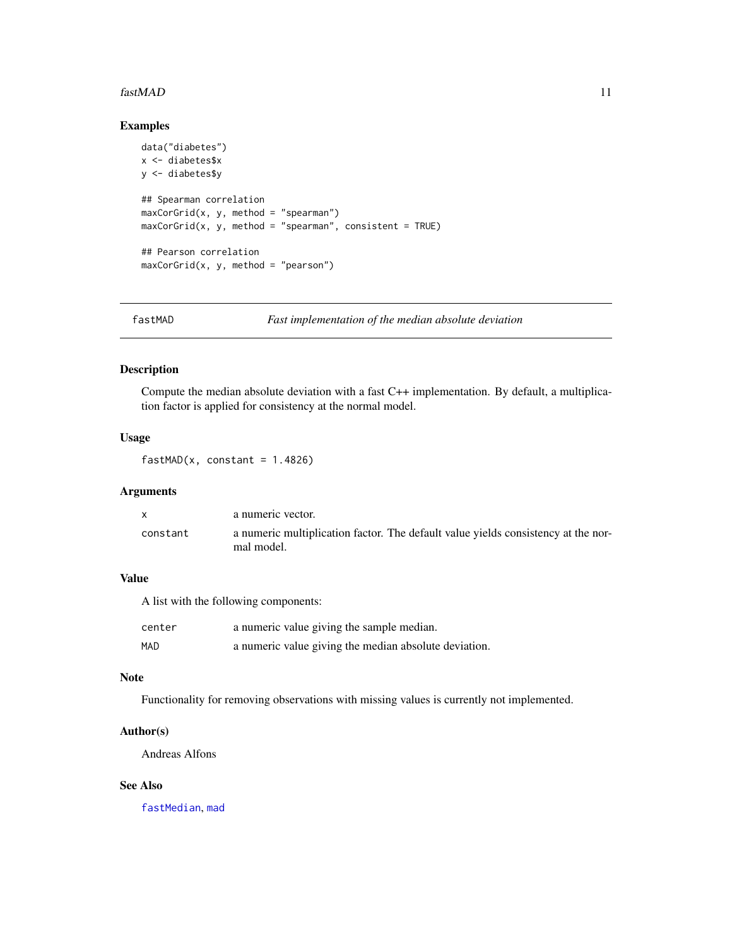#### <span id="page-10-0"></span> $\text{fastMAD}$  11

# Examples

```
data("diabetes")
x <- diabetes$x
y <- diabetes$y
## Spearman correlation
maxCorGrid(x, y, method = "spearman")maxCorGrid(x, y, method = "spearman", consistent = TRUE)## Pearson correlation
maxCorGrid(x, y, method = "pearson")
```
<span id="page-10-1"></span>fastMAD *Fast implementation of the median absolute deviation*

# Description

Compute the median absolute deviation with a fast C++ implementation. By default, a multiplication factor is applied for consistency at the normal model.

# Usage

 $fastMAD(x, constant = 1.4826)$ 

#### Arguments

|          | a numeric vector.                                                                               |
|----------|-------------------------------------------------------------------------------------------------|
| constant | a numeric multiplication factor. The default value yields consistency at the nor-<br>mal model. |

# Value

A list with the following components:

| center | a numeric value giving the sample median.             |
|--------|-------------------------------------------------------|
| MAD    | a numeric value giving the median absolute deviation. |

#### Note

Functionality for removing observations with missing values is currently not implemented.

# Author(s)

Andreas Alfons

#### See Also

[fastMedian](#page-11-1), [mad](#page-0-0)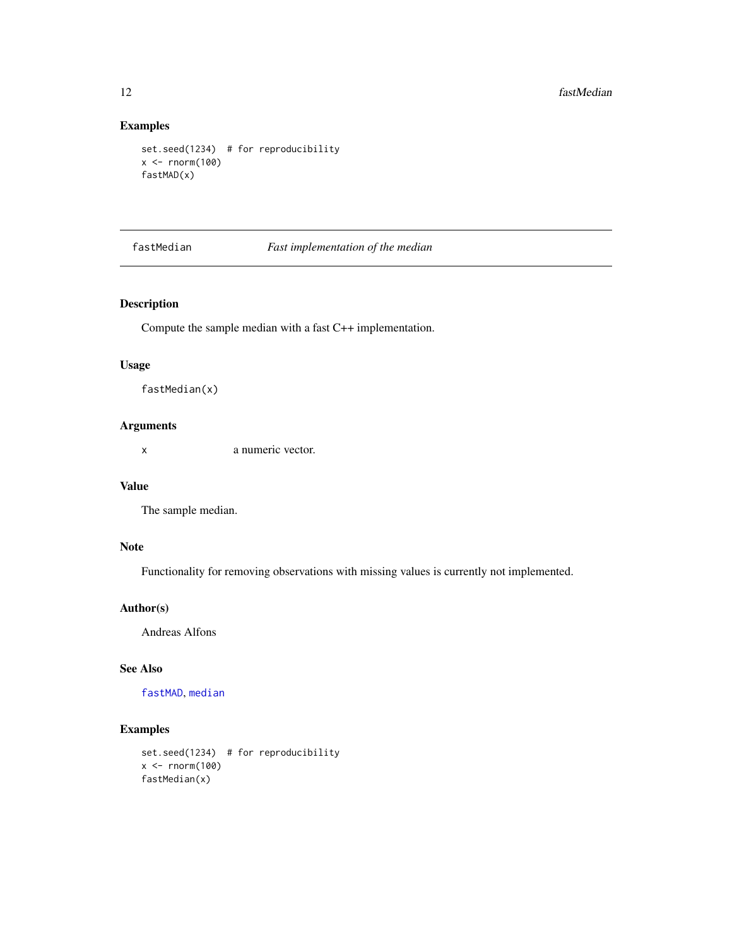# Examples

```
set.seed(1234) # for reproducibility
x \leftarrow \text{rnorm}(100)fastMAD(x)
```
# <span id="page-11-1"></span>fastMedian *Fast implementation of the median*

# Description

Compute the sample median with a fast C++ implementation.

#### Usage

```
fastMedian(x)
```
#### Arguments

x a numeric vector.

# Value

The sample median.

#### Note

Functionality for removing observations with missing values is currently not implemented.

# Author(s)

Andreas Alfons

# See Also

[fastMAD](#page-10-1), [median](#page-0-0)

# Examples

```
set.seed(1234) # for reproducibility
x < - rnorm(100)
fastMedian(x)
```
<span id="page-11-0"></span>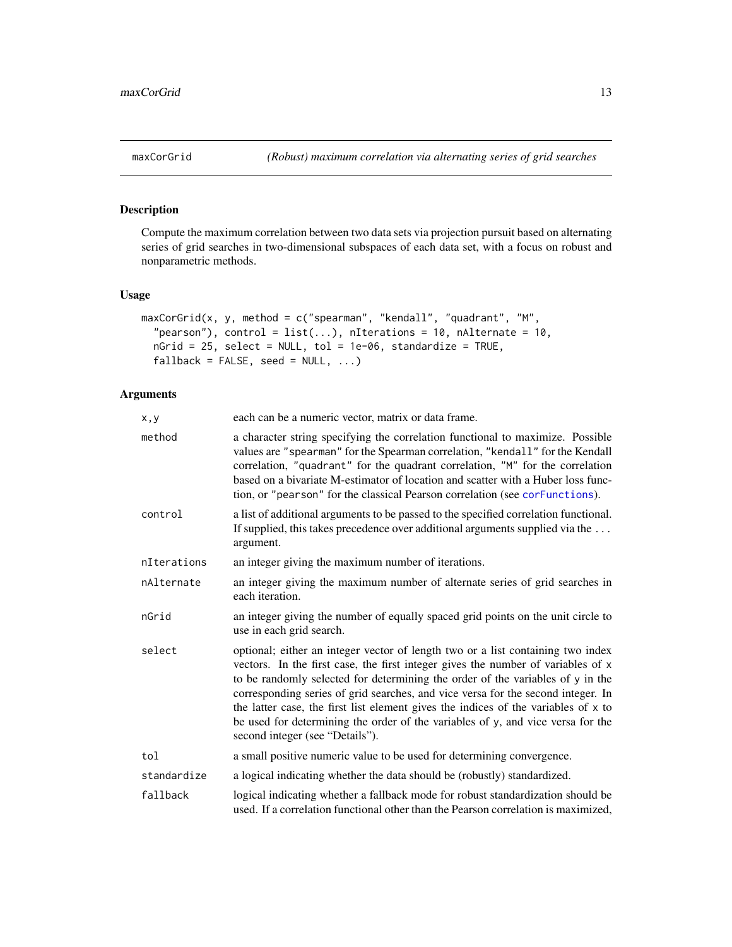<span id="page-12-1"></span><span id="page-12-0"></span>

# Description

Compute the maximum correlation between two data sets via projection pursuit based on alternating series of grid searches in two-dimensional subspaces of each data set, with a focus on robust and nonparametric methods.

### Usage

```
maxCorGrid(x, y, method = c("spearman", "kendall", "quadrant", "M","pearson"), control = list(...), nIterations = 10, nAlternate = 10,
 nGrid = 25, select = NULL, tol = 1e-06, standardize = TRUE,
  fallback = FALSE, seed = NULL, ...
```

| x,y         | each can be a numeric vector, matrix or data frame.                                                                                                                                                                                                                                                                                                                                                                                                                                                                                                   |
|-------------|-------------------------------------------------------------------------------------------------------------------------------------------------------------------------------------------------------------------------------------------------------------------------------------------------------------------------------------------------------------------------------------------------------------------------------------------------------------------------------------------------------------------------------------------------------|
| method      | a character string specifying the correlation functional to maximize. Possible<br>values are "spearman" for the Spearman correlation, "kendall" for the Kendall<br>correlation, "quadrant" for the quadrant correlation, "M" for the correlation<br>based on a bivariate M-estimator of location and scatter with a Huber loss func-<br>tion, or "pearson" for the classical Pearson correlation (see corFunctions).                                                                                                                                  |
| control     | a list of additional arguments to be passed to the specified correlation functional.<br>If supplied, this takes precedence over additional arguments supplied via the<br>argument.                                                                                                                                                                                                                                                                                                                                                                    |
| nIterations | an integer giving the maximum number of iterations.                                                                                                                                                                                                                                                                                                                                                                                                                                                                                                   |
| nAlternate  | an integer giving the maximum number of alternate series of grid searches in<br>each iteration.                                                                                                                                                                                                                                                                                                                                                                                                                                                       |
| nGrid       | an integer giving the number of equally spaced grid points on the unit circle to<br>use in each grid search.                                                                                                                                                                                                                                                                                                                                                                                                                                          |
| select      | optional; either an integer vector of length two or a list containing two index<br>vectors. In the first case, the first integer gives the number of variables of x<br>to be randomly selected for determining the order of the variables of y in the<br>corresponding series of grid searches, and vice versa for the second integer. In<br>the latter case, the first list element gives the indices of the variables of x to<br>be used for determining the order of the variables of y, and vice versa for the<br>second integer (see "Details"). |
| tol         | a small positive numeric value to be used for determining convergence.                                                                                                                                                                                                                                                                                                                                                                                                                                                                                |
| standardize | a logical indicating whether the data should be (robustly) standardized.                                                                                                                                                                                                                                                                                                                                                                                                                                                                              |
| fallback    | logical indicating whether a fallback mode for robust standardization should be<br>used. If a correlation functional other than the Pearson correlation is maximized,                                                                                                                                                                                                                                                                                                                                                                                 |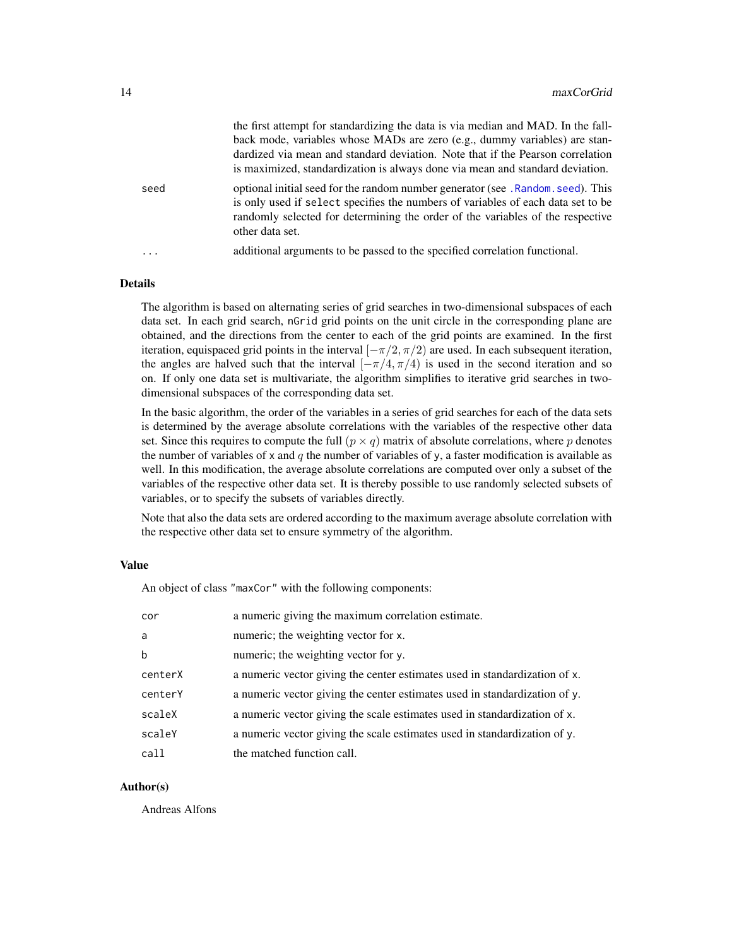<span id="page-13-0"></span>

|          | the first attempt for standardizing the data is via median and MAD. In the fail-                                                                                                                                                                                         |
|----------|--------------------------------------------------------------------------------------------------------------------------------------------------------------------------------------------------------------------------------------------------------------------------|
|          | back mode, variables whose MADs are zero (e.g., dummy variables) are stan-                                                                                                                                                                                               |
|          | dardized via mean and standard deviation. Note that if the Pearson correlation                                                                                                                                                                                           |
|          | is maximized, standardization is always done via mean and standard deviation.                                                                                                                                                                                            |
| seed     | optional initial seed for the random number generator (see . Random seed). This<br>is only used if select specifies the numbers of variables of each data set to be<br>randomly selected for determining the order of the variables of the respective<br>other data set. |
| $\cdots$ | additional arguments to be passed to the specified correlation functional.                                                                                                                                                                                               |

the first attempt for standardizing the data is via median and MAD. In the fall-

#### Details

The algorithm is based on alternating series of grid searches in two-dimensional subspaces of each data set. In each grid search, nGrid grid points on the unit circle in the corresponding plane are obtained, and the directions from the center to each of the grid points are examined. In the first iteration, equispaced grid points in the interval  $[-\pi/2, \pi/2]$  are used. In each subsequent iteration, the angles are halved such that the interval  $[-\pi/4, \pi/4)$  is used in the second iteration and so on. If only one data set is multivariate, the algorithm simplifies to iterative grid searches in twodimensional subspaces of the corresponding data set.

In the basic algorithm, the order of the variables in a series of grid searches for each of the data sets is determined by the average absolute correlations with the variables of the respective other data set. Since this requires to compute the full  $(p \times q)$  matrix of absolute correlations, where p denotes the number of variables of x and  $q$  the number of variables of y, a faster modification is available as well. In this modification, the average absolute correlations are computed over only a subset of the variables of the respective other data set. It is thereby possible to use randomly selected subsets of variables, or to specify the subsets of variables directly.

Note that also the data sets are ordered according to the maximum average absolute correlation with the respective other data set to ensure symmetry of the algorithm.

#### Value

An object of class "maxCor" with the following components:

| cor         | a numeric giving the maximum correlation estimate.                         |
|-------------|----------------------------------------------------------------------------|
| a           | numeric; the weighting vector for x.                                       |
| $\mathbf b$ | numeric; the weighting vector for y.                                       |
| centerX     | a numeric vector giving the center estimates used in standardization of x. |
| centerY     | a numeric vector giving the center estimates used in standardization of y. |
| scaleX      | a numeric vector giving the scale estimates used in standardization of x.  |
| scaleY      | a numeric vector giving the scale estimates used in standardization of y.  |
| call        | the matched function call.                                                 |

#### Author(s)

Andreas Alfons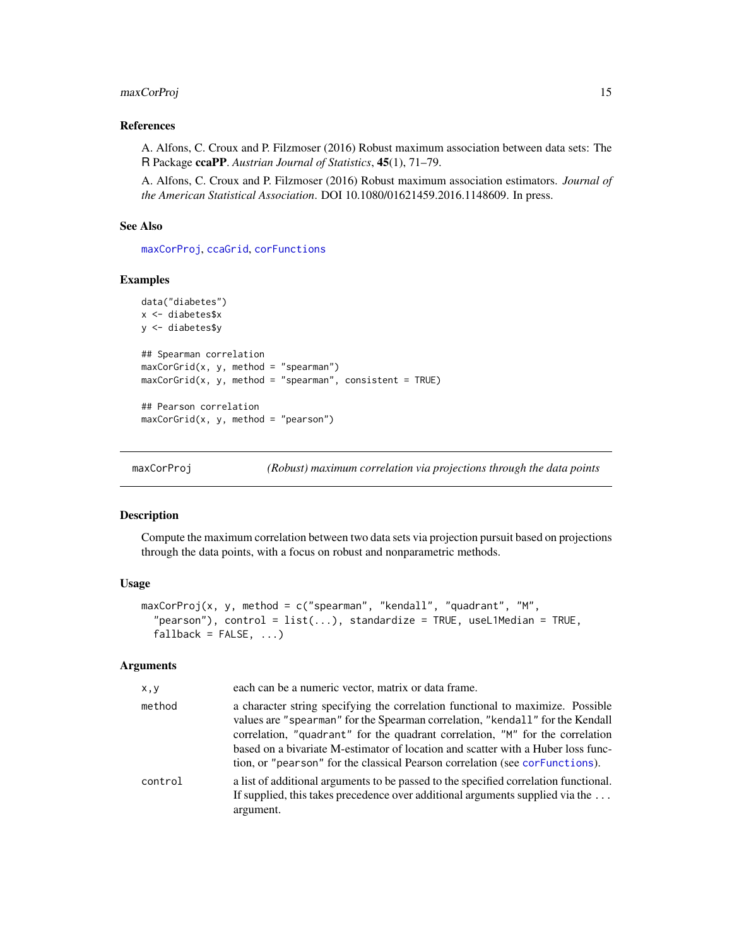# <span id="page-14-0"></span>maxCorProj 15

#### References

A. Alfons, C. Croux and P. Filzmoser (2016) Robust maximum association between data sets: The R Package ccaPP. *Austrian Journal of Statistics*, 45(1), 71–79.

A. Alfons, C. Croux and P. Filzmoser (2016) Robust maximum association estimators. *Journal of the American Statistical Association*. DOI 10.1080/01621459.2016.1148609. In press.

#### See Also

[maxCorProj](#page-14-1), [ccaGrid](#page-2-1), [corFunctions](#page-7-1)

#### Examples

```
data("diabetes")
x <- diabetes$x
y <- diabetes$y
## Spearman correlation
maxCorGrid(x, y, method = "spearman")maxCorGrid(x, y, method = "spearman", consistent = TRUE)## Pearson correlation
maxCorGrid(x, y, method = "pearson")
```
<span id="page-14-1"></span>

maxCorProj *(Robust) maximum correlation via projections through the data points*

#### Description

Compute the maximum correlation between two data sets via projection pursuit based on projections through the data points, with a focus on robust and nonparametric methods.

#### Usage

```
maxCorProj(x, y, method = c("spearman", "kendall", "quadrant", "M",
  "pearson", control = list(...), standardize = TRUE, useL1Median = TRUE,
 fallback = FALSE, ...
```

| x, y    | each can be a numeric vector, matrix or data frame.                                                                                                                                                                                                                                                                                                                                                                  |
|---------|----------------------------------------------------------------------------------------------------------------------------------------------------------------------------------------------------------------------------------------------------------------------------------------------------------------------------------------------------------------------------------------------------------------------|
| method  | a character string specifying the correlation functional to maximize. Possible<br>values are "spearman" for the Spearman correlation, "kendall" for the Kendall<br>correlation, "quadrant" for the quadrant correlation, "M" for the correlation<br>based on a bivariate M-estimator of location and scatter with a Huber loss func-<br>tion, or "pearson" for the classical Pearson correlation (see corFunctions). |
| control | a list of additional arguments to be passed to the specified correlation functional.<br>If supplied, this takes precedence over additional arguments supplied via the<br>argument.                                                                                                                                                                                                                                   |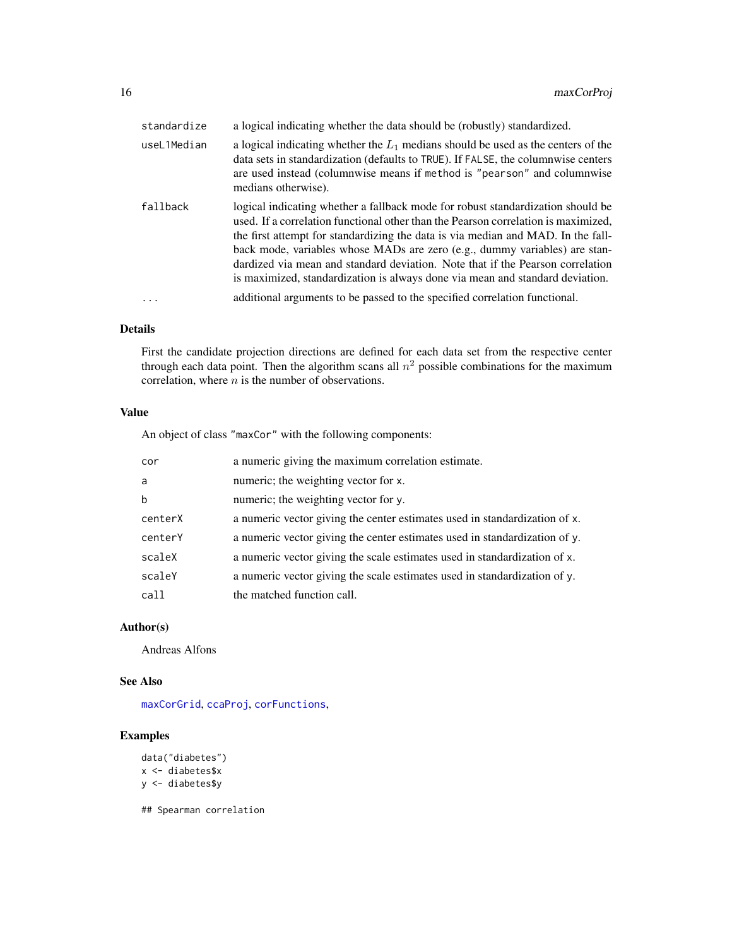<span id="page-15-0"></span>

| standardize | a logical indicating whether the data should be (robustly) standardized.                                                                                                                                                                                                                                                                                                                                                                                                                                   |
|-------------|------------------------------------------------------------------------------------------------------------------------------------------------------------------------------------------------------------------------------------------------------------------------------------------------------------------------------------------------------------------------------------------------------------------------------------------------------------------------------------------------------------|
| useL1Median | a logical indicating whether the $L_1$ medians should be used as the centers of the<br>data sets in standardization (defaults to TRUE). If FALSE, the columnwise centers<br>are used instead (columnwise means if method is "pearson" and columnwise<br>medians otherwise).                                                                                                                                                                                                                                |
| fallback    | logical indicating whether a fallback mode for robust standardization should be<br>used. If a correlation functional other than the Pearson correlation is maximized,<br>the first attempt for standardizing the data is via median and MAD. In the fall-<br>back mode, variables whose MADs are zero (e.g., dummy variables) are stan-<br>dardized via mean and standard deviation. Note that if the Pearson correlation<br>is maximized, standardization is always done via mean and standard deviation. |
|             | additional arguments to be passed to the specified correlation functional.                                                                                                                                                                                                                                                                                                                                                                                                                                 |

# Details

First the candidate projection directions are defined for each data set from the respective center through each data point. Then the algorithm scans all  $n^2$  possible combinations for the maximum correlation, where  $n$  is the number of observations.

#### Value

An object of class "maxCor" with the following components:

| cor         | a numeric giving the maximum correlation estimate.                         |
|-------------|----------------------------------------------------------------------------|
| a           | numeric; the weighting vector for x.                                       |
| $\mathbf b$ | numeric; the weighting vector for y.                                       |
| centerX     | a numeric vector giving the center estimates used in standardization of x. |
| centerY     | a numeric vector giving the center estimates used in standardization of y. |
| scaleX      | a numeric vector giving the scale estimates used in standardization of x.  |
| scaleY      | a numeric vector giving the scale estimates used in standardization of y.  |
| call        | the matched function call.                                                 |

### Author(s)

Andreas Alfons

# See Also

[maxCorGrid](#page-12-1), [ccaProj](#page-5-1), [corFunctions](#page-7-1),

# Examples

```
data("diabetes")
x <- diabetes$x
y <- diabetes$y
```
## Spearman correlation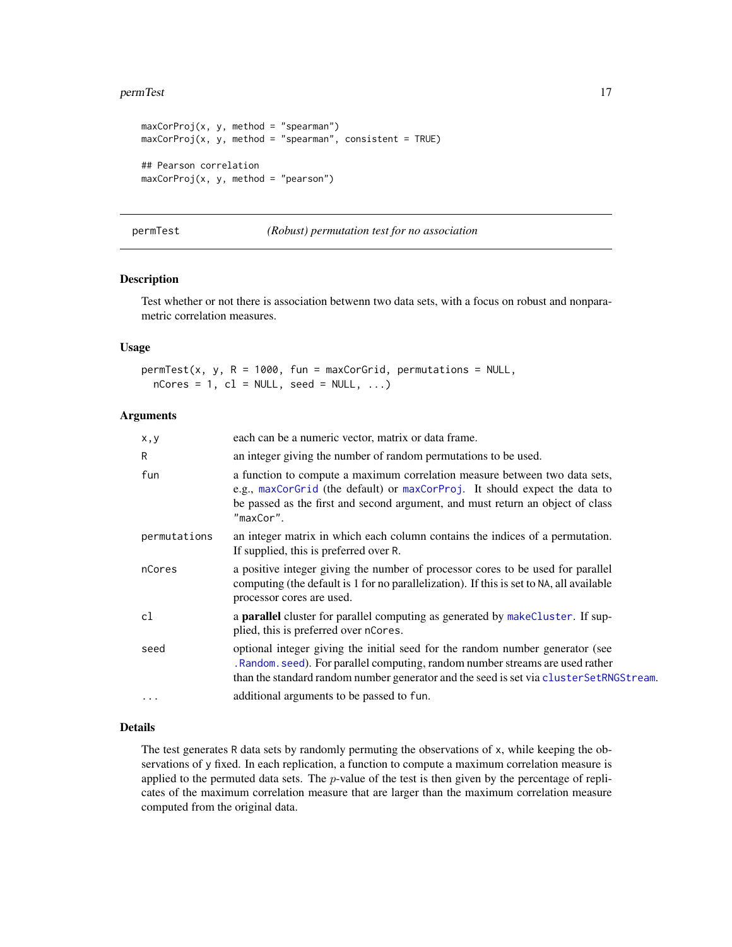#### <span id="page-16-0"></span>permTest 17

```
maxCorProj(x, y, method = "spearman")maxCorProj(x, y, method = "spearman", consistent = TRUE)## Pearson correlation
maxCorProj(x, y, method = "pearson")
```

```
permTest (Robust) permutation test for no association
```
#### Description

Test whether or not there is association betwenn two data sets, with a focus on robust and nonparametric correlation measures.

# Usage

```
permTest(x, y, R = 1000, fun = maxCorGrid, permutations = NULL,nCores = 1, cl = NULL, seed = NULL, ...
```
#### Arguments

| x,y          | each can be a numeric vector, matrix or data frame.                                                                                                                                                                                                        |
|--------------|------------------------------------------------------------------------------------------------------------------------------------------------------------------------------------------------------------------------------------------------------------|
| R            | an integer giving the number of random permutations to be used.                                                                                                                                                                                            |
| fun          | a function to compute a maximum correlation measure between two data sets,<br>e.g., maxCorGrid (the default) or maxCorProj. It should expect the data to<br>be passed as the first and second argument, and must return an object of class<br>"maxCor".    |
| permutations | an integer matrix in which each column contains the indices of a permutation.<br>If supplied, this is preferred over R.                                                                                                                                    |
| nCores       | a positive integer giving the number of processor cores to be used for parallel<br>computing (the default is 1 for no parallelization). If this is set to NA, all available<br>processor cores are used.                                                   |
| c1           | a <b>parallel</b> cluster for parallel computing as generated by makeCluster. If sup-<br>plied, this is preferred over nCores.                                                                                                                             |
| seed         | optional integer giving the initial seed for the random number generator (see<br>. Random. seed). For parallel computing, random number streams are used rather<br>than the standard random number generator and the seed is set via cluster SetRNGStream. |
| $\ddotsc$    | additional arguments to be passed to fun.                                                                                                                                                                                                                  |

#### Details

The test generates R data sets by randomly permuting the observations of x, while keeping the observations of y fixed. In each replication, a function to compute a maximum correlation measure is applied to the permuted data sets. The  $p$ -value of the test is then given by the percentage of replicates of the maximum correlation measure that are larger than the maximum correlation measure computed from the original data.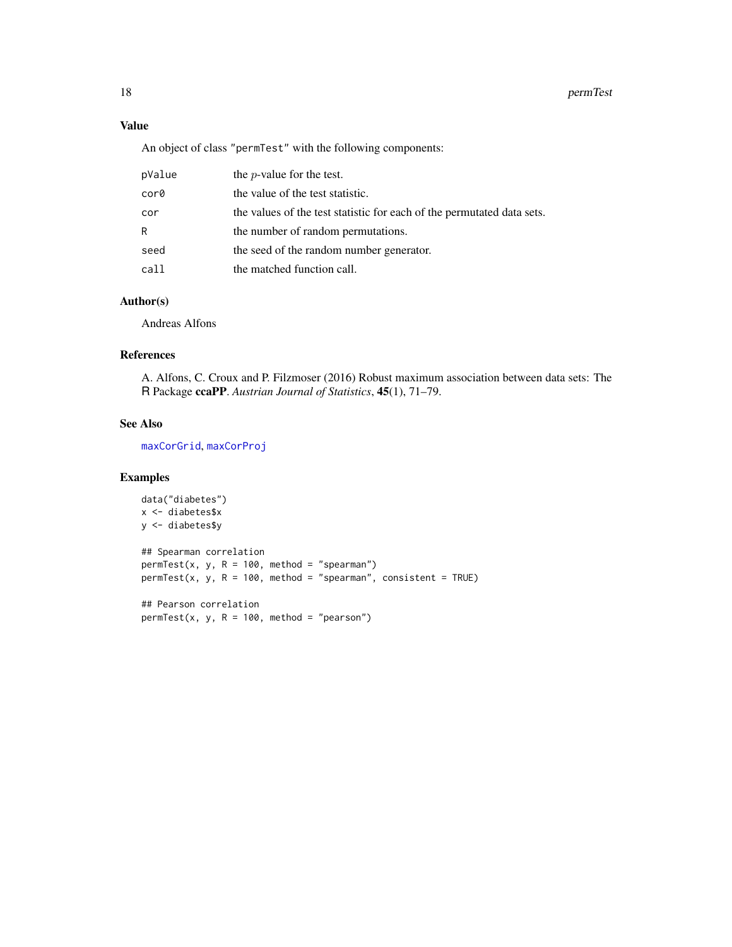# <span id="page-17-0"></span>Value

An object of class "permTest" with the following components:

| pValue | the <i>p</i> -value for the test.                                      |
|--------|------------------------------------------------------------------------|
| cor0   | the value of the test statistic.                                       |
| cor    | the values of the test statistic for each of the permutated data sets. |
| R      | the number of random permutations.                                     |
| seed   | the seed of the random number generator.                               |
| call   | the matched function call.                                             |

# Author(s)

Andreas Alfons

# References

A. Alfons, C. Croux and P. Filzmoser (2016) Robust maximum association between data sets: The R Package ccaPP. *Austrian Journal of Statistics*, 45(1), 71–79.

## See Also

[maxCorGrid](#page-12-1), [maxCorProj](#page-14-1)

# Examples

```
data("diabetes")
x <- diabetes$x
y <- diabetes$y
## Spearman correlation
permTest(x, y, R = 100, method = "spearman")permTest(x, y, R = 100, method = "spearman", consistent = TRUE)## Pearson correlation
permTest(x, y, R = 100, method = "pearson")
```